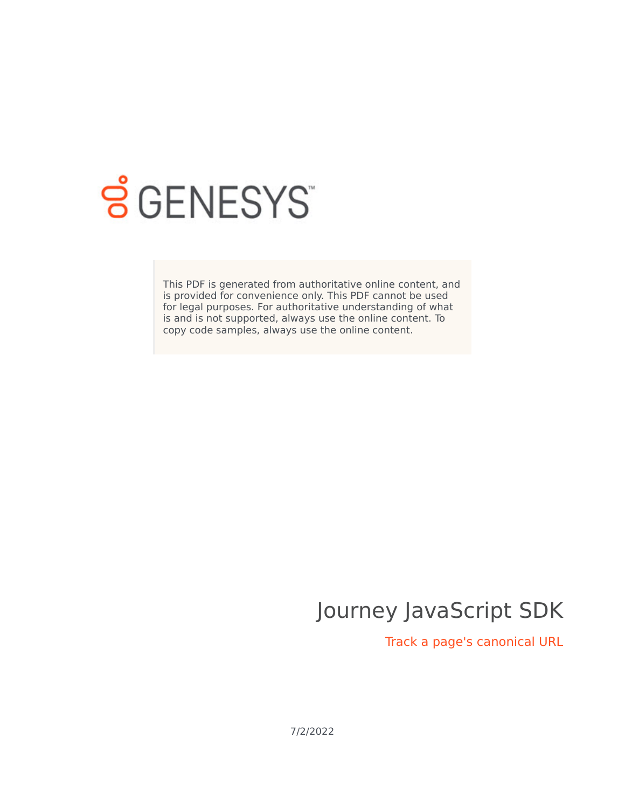

# **S** GENESYS

This PDF is generated from authoritative online content, and is provided for convenience only. This PDF cannot be used for legal purposes. For authoritative understanding of what is and is not supported, always use the online content. To copy code samples, always use the online content.

# Journey JavaScript SDK

Track a page's canonical URL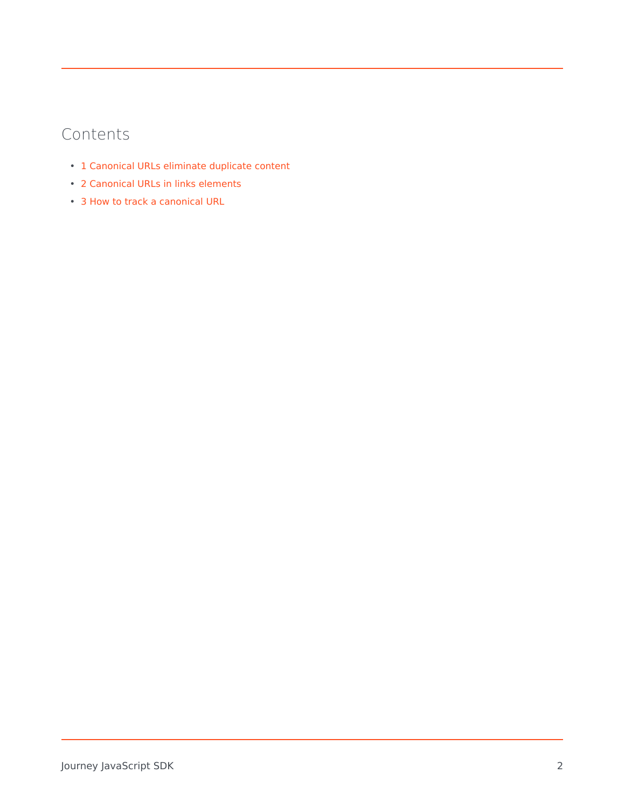# Contents

- 1 [Canonical URLs eliminate duplicate content](#page-2-0)
- 2 [Canonical URLs in links elements](#page-2-1)
- 3 [How to track a canonical URL](#page-2-2)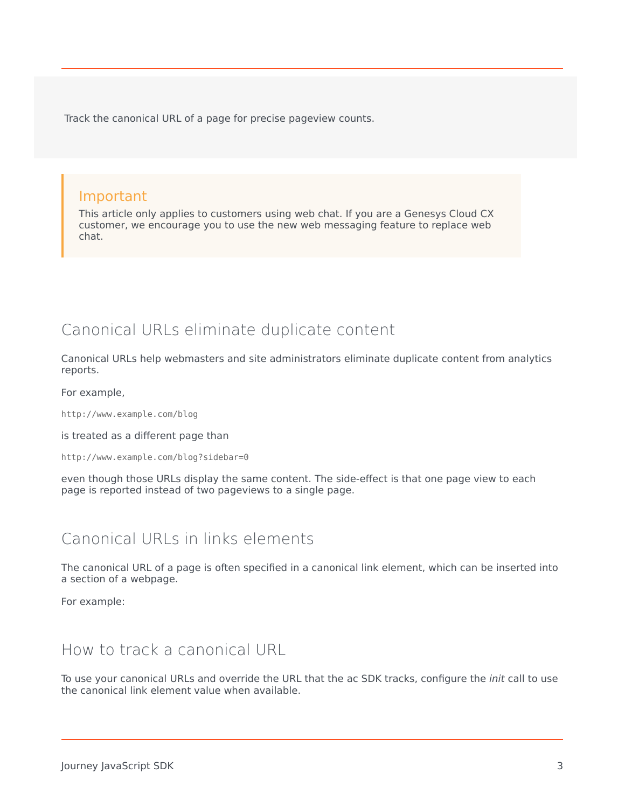Track the canonical URL of a page for precise pageview counts.

#### Important

This article only applies to customers using web chat. If you are a Genesys Cloud CX customer, we encourage you to use the new web messaging feature to replace web chat.

## <span id="page-2-0"></span>Canonical URLs eliminate duplicate content

Canonical URLs help webmasters and site administrators eliminate duplicate content from analytics reports.

For example,

http://www.example.com/blog

is treated as a different page than

http://www.example.com/blog?sidebar=0

even though those URLs display the same content. The side-effect is that one page view to each page is reported instead of two pageviews to a single page.

### <span id="page-2-1"></span>Canonical URLs in links elements

The canonical URL of a page is often specified in a canonical link element, which can be inserted into a section of a webpage.

For example:

#### <span id="page-2-2"></span>How to track a canonical URL

To use your canonical URLs and override the URL that the ac SDK tracks, configure the *init* call to use the canonical link element value when available.